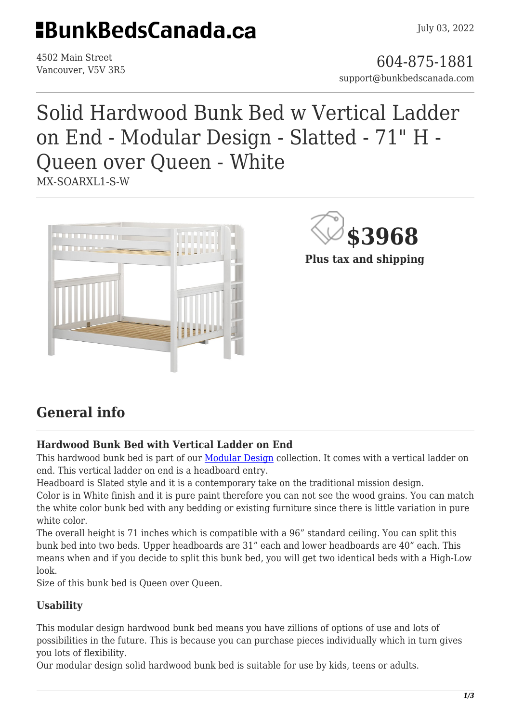## **EBunkBedsCanada.ca**

4502 Main Street

4502 Main Street<br>Vancouver, V5V 3R5 support@bunkbedscanada.com

### Solid Hardwood Bunk Bed w Vertical Ladder on End - Modular Design - Slatted - 71" H - Queen over Queen - White MX-SOARXL1-S-W



**\$3968**

**Plus tax and shipping**

### **General info**

#### **Hardwood Bunk Bed with Vertical Ladder on End**

This hardwood bunk bed is part of our [Modular Design](https://bunkbedscanada.com/about-modular-collection) collection. It comes with a vertical ladder on end. This vertical ladder on end is a headboard entry.

Headboard is Slated style and it is a contemporary take on the traditional mission design.

Color is in White finish and it is pure paint therefore you can not see the wood grains. You can match the white color bunk bed with any bedding or existing furniture since there is little variation in pure white color.

The overall height is 71 inches which is compatible with a 96" standard ceiling. You can split this bunk bed into two beds. Upper headboards are 31" each and lower headboards are 40" each. This means when and if you decide to split this bunk bed, you will get two identical beds with a High-Low look.

Size of this bunk bed is Queen over Queen.

#### **Usability**

This modular design hardwood bunk bed means you have zillions of options of use and lots of possibilities in the future. This is because you can purchase pieces individually which in turn gives you lots of flexibility.

Our modular design solid hardwood bunk bed is suitable for use by kids, teens or adults.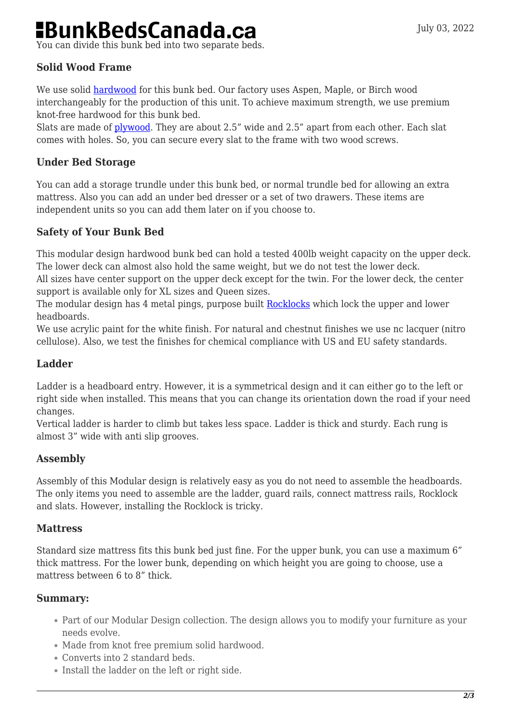# **BunkBedsCanada.ca**

You can divide this bunk bed into two separate beds.

#### **Solid Wood Frame**

We use solid [hardwood](https://en.wikipedia.org/wiki/Hardwood) for this bunk bed. Our factory uses Aspen, Maple, or Birch wood interchangeably for the production of this unit. To achieve maximum strength, we use premium knot-free hardwood for this bunk bed.

Slats are made of [plywood](https://en.wikipedia.org/wiki/Plywood). They are about 2.5" wide and 2.5" apart from each other. Each slat comes with holes. So, you can secure every slat to the frame with two wood screws.

#### **Under Bed Storage**

You can add a storage trundle under this bunk bed, or normal trundle bed for allowing an extra mattress. Also you can add an under bed dresser or a set of two drawers. These items are independent units so you can add them later on if you choose to.

#### **Safety of Your Bunk Bed**

This modular design hardwood bunk bed can hold a tested 400lb weight capacity on the upper deck. The lower deck can almost also hold the same weight, but we do not test the lower deck.

All sizes have center support on the upper deck except for the twin. For the lower deck, the center support is available only for XL sizes and Queen sizes.

The modular design has 4 metal pings, purpose built [Rocklocks](https://bunkbedscanada.com/rock-locks-set-of-4.html) which lock the upper and lower headboards.

We use acrylic paint for the white finish. For natural and chestnut finishes we use nc lacquer (nitro cellulose). Also, we test the finishes for chemical compliance with US and EU safety standards.

#### **Ladder**

Ladder is a headboard entry. However, it is a symmetrical design and it can either go to the left or right side when installed. This means that you can change its orientation down the road if your need changes.

Vertical ladder is harder to climb but takes less space. Ladder is thick and sturdy. Each rung is almost 3" wide with anti slip grooves.

#### **Assembly**

Assembly of this Modular design is relatively easy as you do not need to assemble the headboards. The only items you need to assemble are the ladder, guard rails, connect mattress rails, Rocklock and slats. However, installing the Rocklock is tricky.

#### **Mattress**

Standard size mattress fits this bunk bed just fine. For the upper bunk, you can use a maximum 6" thick mattress. For the lower bunk, depending on which height you are going to choose, use a mattress between 6 to 8" thick.

#### **Summary:**

- Part of our Modular Design collection. The design allows you to modify your furniture as your needs evolve.
- Made from knot free premium solid hardwood.
- Converts into 2 standard beds.
- Install the ladder on the left or right side.